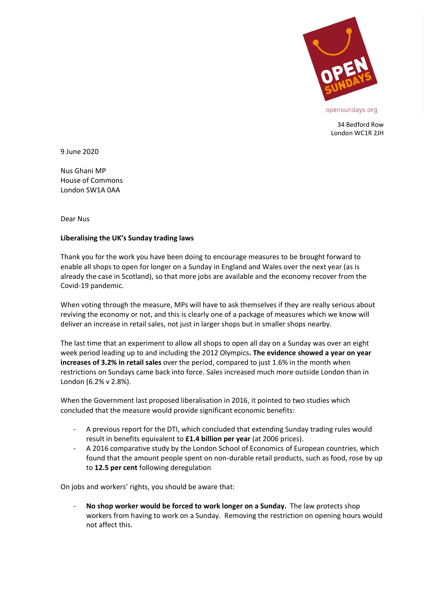

34 Bedford Row London WC1R 2JH

9 June 2020

Nus Ghani MP House of Commons London SW1A 0AA

Dear Nus

## **Liberalising the UK's Sunday trading laws**

Thank you for the work you have been doing to encourage measures to be brought forward to enable all shops to open for longer on a Sunday in England and Wales over the next year (as is already the case in Scotland), so that more jobs are available and the economy recover from the Covid-19 pandemic.

When voting through the measure, MPs will have to ask themselves if they are really serious about reviving the economy or not, and this is clearly one of a package of measures which we know will deliver an increase in retail sales, not just in larger shops but in smaller shops nearby.

The last time that an experiment to allow all shops to open all day on a Sunday was over an eight week period leading up to and including the 2012 Olympics**. The evidence showed a year on year increases of 3.2% in retail sales** over the period, compared to just 1.6% in the month when restrictions on Sundays came back into force. Sales increased much more outside London than in London (6.2% v 2.8%).

When the Government last proposed liberalisation in 2016, it pointed to two studies which concluded that the measure would provide significant economic benefits:

- A previous report for the DTI, which concluded that extending Sunday trading rules would result in benefits equivalent to **£1.4 billion per year** (at 2006 prices).
- A 2016 comparative study by the London School of Economics of European countries, which found that the amount people spent on non-durable retail products, such as food, rose by up to **12.5 per cent** following deregulation

On jobs and workers' rights, you should be aware that:

- **No shop worker would be forced to work longer on a Sunday.** The law protects shop workers from having to work on a Sunday. Removing the restriction on opening hours would not affect this.